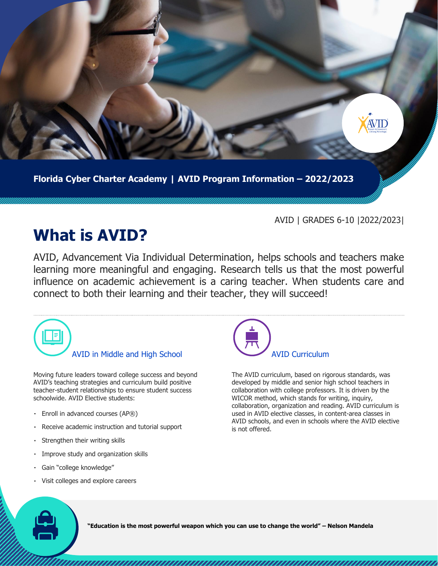

**Florida Cyber Charter Academy | AVID Program Information – 2022/2023**

## AVID | GRADES 6-10 |2022/2023|

## **What is AVID?**

AVID, Advancement Via Individual Determination, helps schools and teachers make learning more meaningful and engaging. Research tells us that the most powerful influence on academic achievement is a caring teacher. When students care and connect to both their learning and their teacher, they will succeed!



Moving future leaders toward college success and beyond AVID's teaching strategies and curriculum build positive teacher-student relationships to ensure student success schoolwide. AVID Elective students:

- Enroll in advanced courses (AP®)
- Receive academic instruction and tutorial support
- Strengthen their writing skills
- Improve study and organization skills
- Gain "college knowledge"
- Visit colleges and explore careers



The AVID curriculum, based on rigorous standards, was developed by middle and senior high school teachers in collaboration with college professors. It is driven by the WICOR method, which stands for writing, inquiry, collaboration, organization and reading. AVID curriculum is used in AVID elective classes, in content-area classes in AVID schools, and even in schools where the AVID elective is not offered.

**"Education is the most powerful weapon which you can use to change the world" – Nelson Mandela**